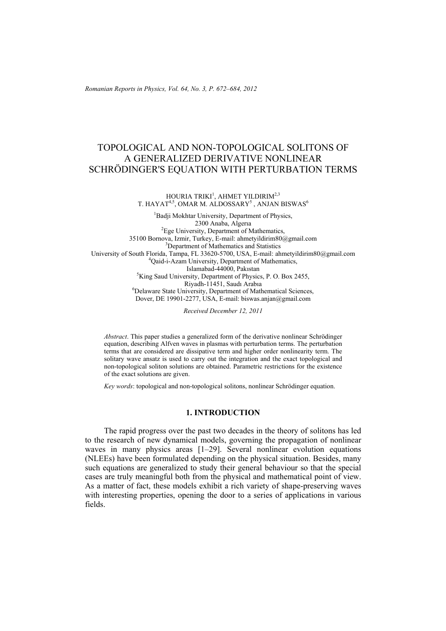*Romanian Reports in Physics, Vol. 64, No. 3, P. 672–684, 2012*

# TOPOLOGICAL AND NON-TOPOLOGICAL SOLITONS OF A GENERALIZED DERIVATIVE NONLINEAR SCHRÖDINGER'S EQUATION WITH PERTURBATION TERMS

#### HOURIA TRIKI $^1$ , AHMET YILDIRIM $^{2,3}$ T. HAYAT $4.5$ , OMAR M. ALDOSSARY<sup>5</sup>, ANJAN BISWAS<sup>6</sup>

<sup>1</sup>Badji Mokhtar University, Department of Physics, 2300 Anaba, Algeria<br><sup>2</sup>Ege University, Department of Mathematics, 35100 Bornova, Izmir, Turkey, E-mail: ahmetyildirim80@gmail.com <sup>3</sup> Department of Mathematics and Statistics University of South Florida, Tampa, FL 33620-5700, USA, E-mail: ahmetyildirim80@gmail.com 4 Qaid-i-Azam University, Department of Mathematics, Islamabad-44000, Pakıstan<br><sup>5</sup>King Saud University, Department of Physics <sup>5</sup>King Saud University, Department of Physics, P. O. Box 2455,<br>Rivadh-11451, Saudi Arabia Riyadh-11451, Saudı Arabıa<br>
<sup>6</sup>Delaware State University, Department of Mathematical Sciences, Dover, DE 19901-2277, USA, E-mail: biswas.anjan@gmail.com

*Received December 12, 2011* 

*Abstract*. This paper studies a generalized form of the derivative nonlinear Schrödinger equation, describing Alfven waves in plasmas with perturbation terms. The perturbation terms that are considered are dissipative term and higher order nonlinearity term. The solitary wave ansatz is used to carry out the integration and the exact topological and non-topological soliton solutions are obtained. Parametric restrictions for the existence of the exact solutions are given.

*Key words*: topological and non-topological solitons, nonlinear Schrödinger equation.

### **1. INTRODUCTION**

The rapid progress over the past two decades in the theory of solitons has led to the research of new dynamical models, governing the propagation of nonlinear waves in many physics areas [1–29]. Several nonlinear evolution equations (NLEEs) have been formulated depending on the physical situation. Besides, many such equations are generalized to study their general behaviour so that the special cases are truly meaningful both from the physical and mathematical point of view. As a matter of fact, these models exhibit a rich variety of shape-preserving waves with interesting properties, opening the door to a series of applications in various fields.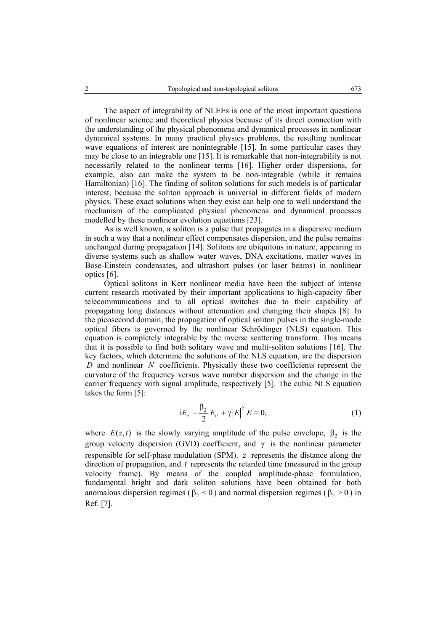The aspect of integrability of NLEEs is one of the most important questions of nonlinear science and theoretical physics because of its direct connection with the understanding of the physical phenomena and dynamical processes in nonlinear dynamical systems. In many practical physics problems, the resulting nonlinear wave equations of interest are nonintegrable [15]. In some particular cases they may be close to an integrable one [15]. It is remarkable that non-integrability is not necessarily related to the nonlinear terms [16]. Higher order dispersions, for example, also can make the system to be non-integrable (while it remains Hamiltonian) [16]. The finding of soliton solutions for such models is of particular interest, because the soliton approach is universal in different fields of modern physics. These exact solutions when they exist can help one to well understand the mechanism of the complicated physical phenomena and dynamical processes modelled by these nonlinear evolution equations [23].

As is well known, a soliton is a pulse that propagates in a dispersive medium in such a way that a nonlinear effect compensates dispersion, and the pulse remains unchanged during propagation [14]. Solitons are ubiquitous in nature, appearing in diverse systems such as shallow water waves, DNA excitations, matter waves in Bose-Einstein condensates, and ultrashort pulses (or laser beams) in nonlinear optics [6].

Optical solitons in Kerr nonlinear media have been the subject of intense current research motivated by their important applications to high-capacity fiber telecommunications and to all optical switches due to their capability of propagating long distances without attenuation and changing their shapes [8]. In the picosecond domain, the propagation of optical soliton pulses in the single-mode optical fibers is governed by the nonlinear Schrödinger (NLS) equation. This equation is completely integrable by the inverse scattering transform. This means that it is possible to find both solitary wave and multi-soliton solutions [16]. The key factors, which determine the solutions of the NLS equation, are the dispersion *D* and nonlinear *N* coefficients. Physically these two coefficients represent the curvature of the frequency versus wave number dispersion and the change in the carrier frequency with signal amplitude, respectively [5]. The cubic NLS equation takes the form [5]:

$$
iE_z - \frac{\beta_2}{2} E_{tt} + \gamma |E|^2 E = 0,
$$
 (1)

where  $E(z,t)$  is the slowly varying amplitude of the pulse envelope,  $\beta_2$  is the group velocity dispersion (GVD) coefficient, and  $\gamma$  is the nonlinear parameter responsible for self-phase modulation (SPM). *z* represents the distance along the direction of propagation, and *t* represents the retarded time (measured in the group velocity frame). By means of the coupled amplitude-phase formulation, fundamental bright and dark soliton solutions have been obtained for both anomalous dispersion regimes ( $\beta_2$  < 0) and normal dispersion regimes ( $\beta_2$  > 0) in Ref. [7].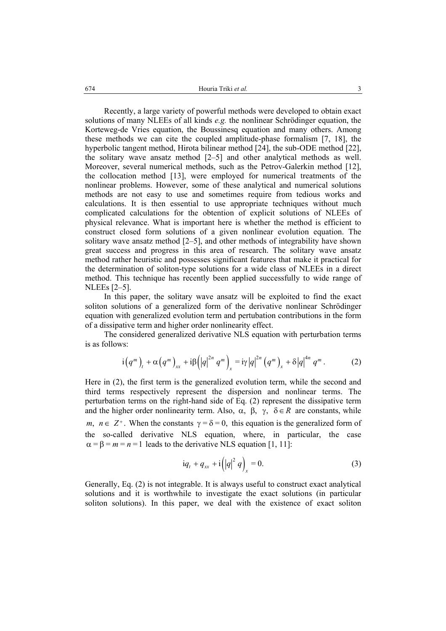Recently, a large variety of powerful methods were developed to obtain exact solutions of many NLEEs of all kinds *e.g.* the nonlinear Schrödinger equation, the Korteweg-de Vries equation, the Boussinesq equation and many others. Among these methods we can cite the coupled amplitude-phase formalism [7, 18], the hyperbolic tangent method, Hirota bilinear method [24], the sub-ODE method [22], the solitary wave ansatz method [2–5] and other analytical methods as well. Moreover, several numerical methods, such as the Petrov-Galerkin method [12], the collocation method [13], were employed for numerical treatments of the nonlinear problems. However, some of these analytical and numerical solutions methods are not easy to use and sometimes require from tedious works and calculations. It is then essential to use appropriate techniques without much complicated calculations for the obtention of explicit solutions of NLEEs of physical relevance. What is important here is whether the method is efficient to construct closed form solutions of a given nonlinear evolution equation. The solitary wave ansatz method [2–5], and other methods of integrability have shown great success and progress in this area of research. The solitary wave ansatz method rather heuristic and possesses significant features that make it practical for the determination of soliton-type solutions for a wide class of NLEEs in a direct method. This technique has recently been applied successfully to wide range of NLEEs [2–5].

In this paper, the solitary wave ansatz will be exploited to find the exact soliton solutions of a generalized form of the derivative nonlinear Schrödinger equation with generalized evolution term and pertubation contributions in the form of a dissipative term and higher order nonlinearity effect.

The considered generalized derivative NLS equation with perturbation terms is as follows:

$$
i(q^{m})_{t} + \alpha (q^{m})_{xx} + i\beta (|q|^{2n} q^{m})_{x} = i\gamma |q|^{2n} (q^{m})_{x} + \delta |q|^{4n} q^{m}. \qquad (2)
$$

Here in (2), the first term is the generalized evolution term, while the second and third terms respectively represent the dispersion and nonlinear terms. The perturbation terms on the right-hand side of Eq. (2) represent the dissipative term and the higher order nonlinearity term. Also,  $\alpha$ ,  $\beta$ ,  $\gamma$ ,  $\delta \in R$  are constants, while *m*,  $n \in \mathbb{Z}^+$ . When the constants  $\gamma = \delta = 0$ , this equation is the generalized form of the so-called derivative NLS equation, where, in particular, the case  $\alpha = \beta = m = n = 1$  leads to the derivative NLS equation [1, 11]:

$$
iq_{t} + q_{xx} + i(|q|^{2} q)_{x} = 0.
$$
 (3)

Generally, Eq. (2) is not integrable. It is always useful to construct exact analytical solutions and it is worthwhile to investigate the exact solutions (in particular soliton solutions). In this paper, we deal with the existence of exact soliton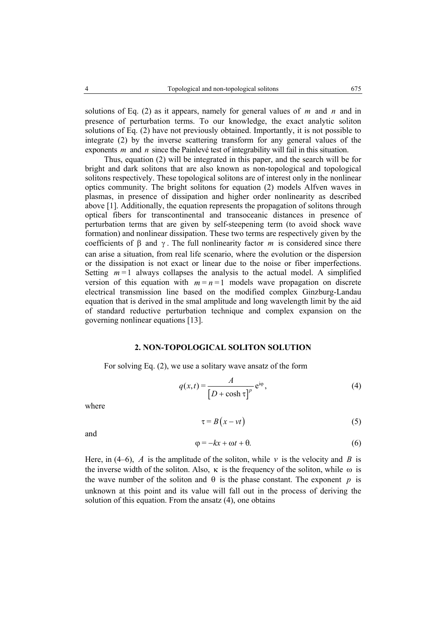solutions of Eq. (2) as it appears, namely for general values of *m* and *n* and in presence of perturbation terms. To our knowledge, the exact analytic soliton solutions of Eq. (2) have not previously obtained. Importantly, it is not possible to integrate (2) by the inverse scattering transform for any general values of the exponents *m* and *n* since the Painlevé test of integrability will fail in this situation.

Thus, equation (2) will be integrated in this paper, and the search will be for bright and dark solitons that are also known as non-topological and topological solitons respectively. These topological solitons are of interest only in the nonlinear optics community. The bright solitons for equation (2) models Alfven waves in plasmas, in presence of dissipation and higher order nonlinearity as described above [1]. Additionally, the equation represents the propagation of solitons through optical fibers for transcontinental and transoceanic distances in presence of perturbation terms that are given by self-steepening term (to avoid shock wave formation) and nonlinear dissipation. These two terms are respectively given by the coefficients of β and γ . The full nonlinearity factor *m* is considered since there can arise a situation, from real life scenario, where the evolution or the dispersion or the dissipation is not exact or linear due to the noise or fiber imperfections. Setting  $m = 1$  always collapses the analysis to the actual model. A simplified version of this equation with  $m = n = 1$  models wave propagation on discrete electrical transmission line based on the modified complex Ginzburg-Landau equation that is derived in the smal amplitude and long wavelength limit by the aid of standard reductive perturbation technique and complex expansion on the governing nonlinear equations [13].

#### **2. NON-TOPOLOGICAL SOLITON SOLUTION**

For solving Eq. (2), we use a solitary wave ansatz of the form

$$
q(x,t) = \frac{A}{\left[D + \cosh \tau\right]^p} e^{i\varphi},\tag{4}
$$

where

$$
\tau = B(x - vt) \tag{5}
$$

and

$$
\varphi = -kx + \omega t + \theta. \tag{6}
$$

Here, in (4–6),  $\vec{A}$  is the amplitude of the soliton, while  $\vec{v}$  is the velocity and  $\vec{B}$  is the inverse width of the soliton. Also,  $\kappa$  is the frequency of the soliton, while  $\omega$  is the wave number of the soliton and  $\theta$  is the phase constant. The exponent *p* is unknown at this point and its value will fall out in the process of deriving the solution of this equation. From the ansatz (4), one obtains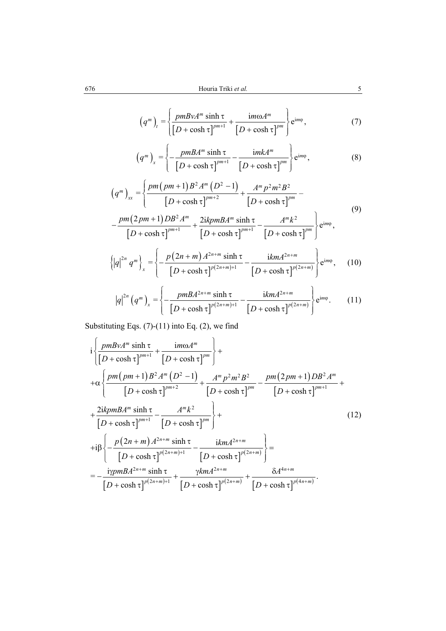$$
(qm)t = \left\{ \frac{pmBvAm \sinh \tau}{\left[D + \cosh \tau\right]^{pm+1}} + \frac{im\omega Am}{\left[D + \cosh \tau\right]^{pm}} \right\} e^{im\varphi},
$$
 (7)

$$
(qm)x = \left\{ -\frac{pmBAm \sinh \tau}{\left[D + \cosh \tau\right]^{pm+1}} - \frac{imkAm}{\left[D + \cosh \tau\right]^{pm}} \right\} e^{im\varphi},
$$
(8)

$$
(qm)xx = \left\{ \frac{pm(pm+1)B2Am (D2 - 1)}{[D + \cosh \tau]^{pm+2}} + \frac{Am p2 m2 B2}{[D + \cosh \tau]^{pm}} - \right\}
$$
(9)

$$
-\frac{pm(2pm+1)DB^2A^m}{[D+\cosh\tau]^{pm+1}}+\frac{2ikpmBA^m\sinh\tau}{[D+\cosh\tau]^{pm+1}}-\frac{A^mk^2}{[D+\cosh\tau]^{pm}}\Bigg\}e^{im\varphi},
$$

$$
\{|q|^{2n} q^m\}_x = \left\{-\frac{p(2n+m) A^{2n+m} \sinh \tau}{\left[D+\cosh \tau\right]^{p(2n+m)+1}} - \frac{k m A^{2n+m}}{\left[D+\cosh \tau\right]^{p(2n+m)}}\right\} e^{im\varphi},\qquad(10)
$$

$$
|q|^{2n} (q^m)_x = \left\{ -\frac{pmBA^{2n+m} \sinh \tau}{\left[D + \cosh \tau\right]^{p(2n+m)+1}} - \frac{ikmA^{2n+m}}{\left[D + \cosh \tau\right]^{p(2n+m)}} \right\} e^{im\phi}.
$$
 (11)

Substituting Eqs. (7)-(11) into Eq. (2), we find

$$
i\left\{\frac{pmBvA^{m}\sinh\tau}{[D+\cosh\tau]^{pm+1}}+\frac{im\omega A^{m}}{[D+\cosh\tau]^{pm}}\right\}++ \alpha\left\{\frac{pm(pm(pm+1)B^{2}A^{m}(D^{2}-1)}{[D+\cosh\tau]^{pm+2}}+\frac{A^{m}p^{2}m^{2}B^{2}}{[D+\cosh\tau]^{pm}}-\frac{pm(2pm+1)DB^{2}A^{m}}{[D+\cosh\tau]^{pm}}+\right\}+ \frac{2ikpmBA^{m}\sinh\tau}{[D+\cosh\tau]^{pm+1}}-\frac{A^{m}k^{2}}{[D+\cosh\tau]^{pm}}\right\}+ (12)+i\beta\left\{-\frac{p(2n+m)A^{2n+m}\sinh\tau}{[D+\cosh\tau]^{p(2n+m)+1}}-\frac{ikmA^{2n+m}}{[D+\cosh\tau]^{p(2n+m)}}\right\} ==-\frac{i\gamma pmBA^{2n+m}\sinh\tau}{[D+\cosh\tau]^{p(2n+m)+1}}+\frac{\gamma kmA^{2n+m}}{[D+\cosh\tau]^{p(2n+m)}}+\frac{\delta A^{4n+m}}{[D+\cosh\tau]^{p(4n+m)}}.
$$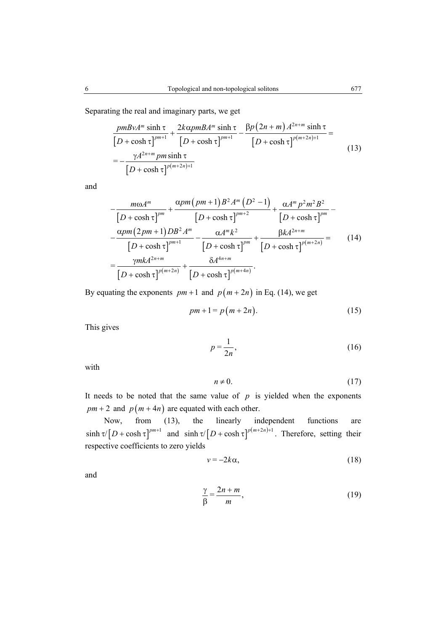Separating the real and imaginary parts, we get

$$
\frac{pmBvA^{m}\sinh\tau}{[D+\cosh\tau]^{pm+1}} + \frac{2k\alpha pmBA^{m}\sinh\tau}{[D+\cosh\tau]^{pm+1}} - \frac{\beta p(2n+m)A^{2n+m}\sinh\tau}{[D+\cosh\tau]^{p(m+2n)+1}} =
$$
\n
$$
= -\frac{\gamma A^{2n+m}\pm\sinh\tau}{[D+\cosh\tau]^{p(m+2n)+1}} \tag{13}
$$

and

$$
-\frac{m\omega A^{m}}{\left[D+\cosh\tau\right]^{pm}} + \frac{\alpha pm\left(pm+1\right)B^{2}A^{m}\left(D^{2}-1\right)}{\left[D+\cosh\tau\right]^{pm+2}} + \frac{\alpha A^{m}p^{2}m^{2}B^{2}}{\left[D+\cosh\tau\right]^{pm}} - \frac{\alpha pm\left(2pm+1\right)DB^{2}A^{m}}{\left[D+\cosh\tau\right]^{pm}} - \frac{\alpha A^{m}k^{2}}{\left[D+\cosh\tau\right]^{pm}} + \frac{\beta k A^{2n+m}}{\left[D+\cosh\tau\right]^{pm}} = \frac{\gamma mk A^{2n+m}}{\left[D+\cosh\tau\right]^{pm+m}} + \frac{\delta A^{4n+m}}{\left[D+\cosh\tau\right]^{p\left(m+2n\right)}} + \frac{\delta A^{4n+m}}{\left[D+\cosh\tau\right]^{p\left(m+4n\right)}}.
$$
\n(14)

By equating the exponents  $pm + 1$  and  $p(m + 2n)$  in Eq. (14), we get

$$
pm + 1 = p(m + 2n). \tag{15}
$$

This gives

$$
p = \frac{1}{2n},\tag{16}
$$

with

$$
n \neq 0. \tag{17}
$$

It needs to be noted that the same value of  $p$  is yielded when the exponents  $pm + 2$  and  $p(m + 4n)$  are equated with each other.

Now, from (13), the linearly independent functions are  $\sinh \tau / [D + \cosh \tau]^{pm+1}$  and  $\sinh \tau / [D + \cosh \tau]^{p(m+2n)+1}$ . Therefore, setting their respective coefficients to zero yields

$$
v = -2k\alpha,\tag{18}
$$

and

$$
\frac{\gamma}{\beta} = \frac{2n + m}{m},\tag{19}
$$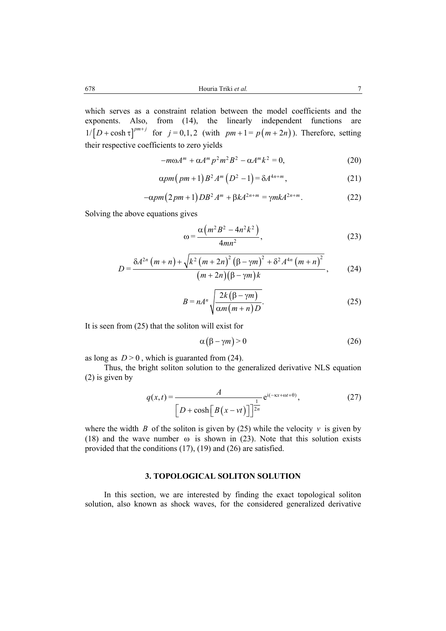which serves as a constraint relation between the model coefficients and the exponents. Also, from (14), the linearly independent functions are  $1/[D + \cosh \tau]^{pm+j}$  for  $j = 0,1,2$  (with  $pm + 1 = p(m + 2n)$ ). Therefore, setting their respective coefficients to zero yields

$$
-m\omega A^{m} + \alpha A^{m} p^{2} m^{2} B^{2} - \alpha A^{m} k^{2} = 0, \qquad (20)
$$

$$
\alpha pm\left(pm+1\right)B^2A^m\left(D^2-1\right)=\delta A^{4n+m},\qquad \qquad (21)
$$

$$
-\alpha pm(2pm+1)DB^2 A^m + \beta k A^{2n+m} = \gamma mk A^{2n+m}.
$$
 (22)

Solving the above equations gives

$$
\omega = \frac{\alpha \left( m^2 B^2 - 4n^2 k^2 \right)}{4mn^2},\tag{23}
$$

$$
D = \frac{\delta A^{2n} \left( m+n \right) + \sqrt{k^2 \left( m+2n \right)^2 \left( \beta - \gamma m \right)^2 + \delta^2 A^{4n} \left( m+n \right)^2}}{\left( m+2n \right) \left( \beta - \gamma m \right) k},\qquad(24)
$$

$$
B = nA^{n} \sqrt{\frac{2k(\beta - \gamma m)}{\alpha m(m+n)D}}.
$$
 (25)

It is seen from (25) that the soliton will exist for

$$
\alpha(\beta - \gamma m) > 0 \tag{26}
$$

as long as  $D > 0$ , which is guaranted from (24).

Thus, the bright soliton solution to the generalized derivative NLS equation (2) is given by

$$
q(x,t) = \frac{A}{\left[D + \cosh\left[B(x - vt)\right]\right]^{1/2n}} e^{i(-\kappa x + \omega t + \theta)},
$$
\n(27)

where the width *B* of the soliton is given by (25) while the velocity  $v$  is given by (18) and the wave number  $\omega$  is shown in (23). Note that this solution exists provided that the conditions (17), (19) and (26) are satisfied.

# **3. TOPOLOGICAL SOLITON SOLUTION**

In this section, we are interested by finding the exact topological soliton solution, also known as shock waves, for the considered generalized derivative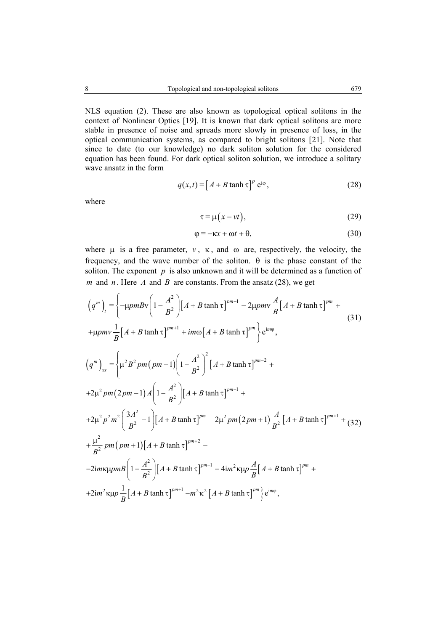NLS equation (2). These are also known as topological optical solitons in the context of Nonlinear Optics [19]. It is known that dark optical solitons are more stable in presence of noise and spreads more slowly in presence of loss, in the optical communication systems, as compared to bright solitons [21]. Note that since to date (to our knowledge) no dark soliton solution for the considered equation has been found. For dark optical soliton solution, we introduce a solitary wave ansatz in the form

$$
q(x,t) = \left[A + B \tanh \tau\right]^p e^{i\varphi},\tag{28}
$$

where

$$
\tau = \mu(x - vt),\tag{29}
$$

$$
\varphi = -\kappa x + \omega t + \theta,\tag{30}
$$

where  $\mu$  is a free parameter,  $\nu$ ,  $\kappa$ , and  $\omega$  are, respectively, the velocity, the frequency, and the wave number of the soliton.  $\theta$  is the phase constant of the soliton. The exponent  $p$  is also unknown and it will be determined as a function of *m* and *n*. Here *A* and *B* are constants. From the ansatz (28), we get

$$
\left(q^{m}\right)_{t} = \left\{-\mu p m B v \left(1 - \frac{A^{2}}{B^{2}}\right) \left[A + B \tanh \tau\right]^{pm-1} - 2\mu p m v \frac{A}{B} \left[A + B \tanh \tau\right]^{pm} + \mu p m v \frac{1}{B} \left[A + B \tanh \tau\right]^{pm+} + im\omega \left[A + B \tanh \tau\right]^{pm}\right\} e^{im\phi},\tag{31}
$$

$$
\left(q^{m}\right)_{xx} = \left\{\mu^{2} B^{2} pm (pm-1)\left(1 - \frac{A^{2}}{B^{2}}\right)^{2} \left[A + B \tanh \tau\right]^{pm-2} + 2\mu^{2} pm (2pm-1) A \left(1 - \frac{A^{2}}{B^{2}}\right) \left[A + B \tanh \tau\right]^{pm-1} + 2\mu^{2} p^{2} m^{2} \left(\frac{3A^{2}}{B^{2}} - 1\right) \left[A + B \tanh \tau\right]^{pm-2} - 2\mu^{2} pm (pm+1) \left[A + B \tanh \tau\right]^{pm-2} - 2\mu m \left(pm+1\right) \left[A + B \tanh \tau\right]^{pm-2} - 2\mu m \left(pm+1\right) \left[A + B \tanh \tau\right]^{pm-1} - 4\mu^{2} \left[\mu + B \tanh \tau\right]^{pm-2} + 2\mu m \left[\mu + B \tanh \tau\right]^{pm-2} - 2\mu m \left[\mu + B \tanh \tau\right]^{pm-2} + 2\mu m^{2} \left[A + B \tanh \tau\right]^{pm-2} + 2\mu m^{2} \left[A + B \tanh \tau\right]^{pm-2} + 2\mu m^{2} \left[\mu + B \tanh \tau\right]^{pm-2} + 2\mu m^{2} \left[\mu + B \tanh \tau\right]^{pm-2} + 2\mu m^{2} \left[\mu + B \tanh \tau\right]^{pm-2} + 2\mu m^{2} \left[\mu + B \tanh \tau\right]^{pm-2} + 2\mu m^{2} \left[\mu + B \tanh \tau\right]^{pm-2} + 2\mu m^{2} \left[\mu + B \tanh \tau\right]^{pm-2} + 2\mu m^{2} \left[\mu + B \tanh \tau\right]^{pm-2} + 2\mu m^{2} \left[\mu + B \tanh \tau\right]^{pm-2} + 2\mu m^{2} \left[\mu + B \tanh \tau\right]^{pm-2} + 2\mu m^{2} \left[\mu + B \tanh \tau\right]^{pm-2} + 2\mu m^{2} \left[\mu + B \tanh \tau\right]^{pm-2} + 2\mu m^{2} \left[\mu + B \tanh \tau\right]^{pm-2} + 2\mu m \left[\mu + B \tanh \
$$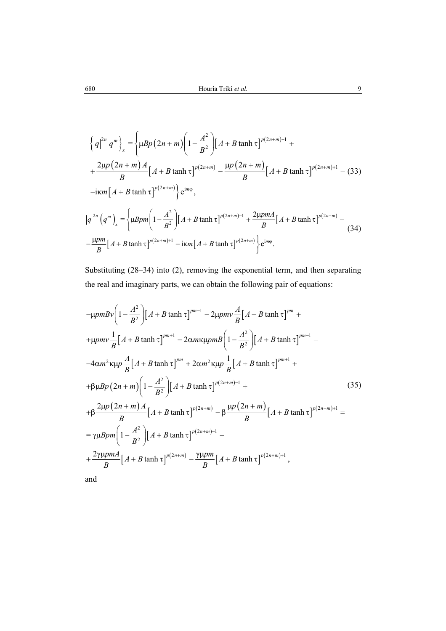$$
\left\{\left|q\right|^{2n} q^{m}\right\}_{x} = \left\{\mu B p \left(2n + m\right) \left(1 - \frac{A^{2}}{B^{2}}\right) \left[A + B \tanh \tau\right]^{p\left(2n + m\right) - 1} + \frac{2\mu p \left(2n + m\right) A}{B} \left[A + B \tanh \tau\right]^{p\left(2n + m\right)} - \frac{\mu p \left(2n + m\right)}{B} \left[A + B \tanh \tau\right]^{p\left(2n + m\right) + 1} - (33)
$$
  
-ikm $\left[A + B \tanh \tau\right]^{p\left(2n + m\right)}\right\} e^{im\varphi},$   

$$
\left|q\right|^{2n} \left(q^{m}\right)_{x} = \left\{\mu B p m \left(1 - \frac{A^{2}}{B^{2}}\right) \left[A + B \tanh \tau\right]^{p\left(2n + m\right) - 1} + \frac{2\mu p m A}{B} \left[A + B \tanh \tau\right]^{p\left(2n + m\right)} - (34)
$$

$$
-\frac{\mu p m}{B} \left[A + B \tanh \tau\right]^{p\left(2n + m\right) + 1} - i \kappa m \left[A + B \tanh \tau\right]^{p\left(2n + m\right)}\right\} e^{im\varphi}.
$$

Substituting (28–34) into (2), removing the exponential term, and then separating the real and imaginary parts, we can obtain the following pair of equations:

$$
-\mu p m B v \left( 1 - \frac{A^2}{B^2} \right) \left[ A + B \tanh \tau \right]^{pm-1} - 2\mu p m v \frac{A}{B} \left[ A + B \tanh \tau \right]^{pm} +
$$
  
+  $\mu p m v \frac{1}{B} \left[ A + B \tanh \tau \right]^{pm-1} - 2\alpha m \kappa \mu p m B \left( 1 - \frac{A^2}{B^2} \right) \left[ A + B \tanh \tau \right]^{pm-1} -$   
-  $4\alpha m^2 \kappa \mu p \frac{A}{B} \left[ A + B \tanh \tau \right]^{pm} + 2\alpha m^2 \kappa \mu p \frac{1}{B} \left[ A + B \tanh \tau \right]^{pm+1} +$   
+  $\beta \mu B p (2n + m) \left( 1 - \frac{A^2}{B^2} \right) \left[ A + B \tanh \tau \right]^{p(2n+m)-1} +$   
+  $\beta \frac{2\mu p (2n + m) A}{B} \left[ A + B \tanh \tau \right]^{p(2n+m)} - \beta \frac{\mu p (2n + m)}{B} \left[ A + B \tanh \tau \right]^{p(2n+m)+1} =$   
=  $\gamma \mu B p m \left( 1 - \frac{A^2}{B^2} \right) \left[ A + B \tanh \tau \right]^{p(2n+m)-1} +$   
+  $\frac{2\gamma \mu p m A}{B} \left[ A + B \tanh \tau \right]^{p(2n+m)} - \frac{\gamma \mu p m}{B} \left[ A + B \tanh \tau \right]^{p(2n+m)+1},$   
and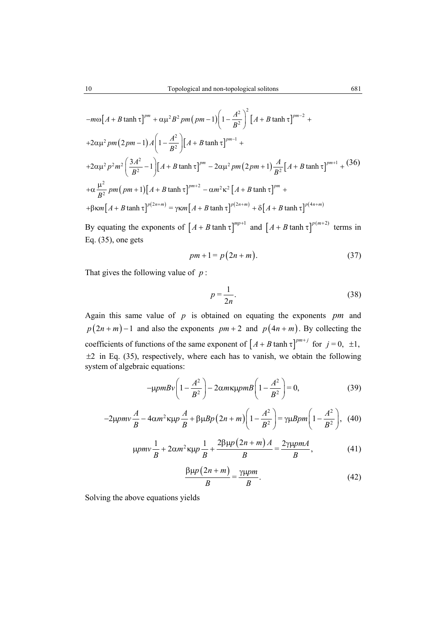$$
-m\omega \Big[ A + B \tanh \tau \Big]^{pm} + \alpha \mu^2 B^2 \, pm \Big( pm - 1 \Big) \Bigg( 1 - \frac{A^2}{B^2} \Bigg)^2 \Big[ A + B \tanh \tau \Big]^{pm-2} +
$$
  
+2\alpha \mu^2 \, pm \Big( 2 \, pm - 1 \Big) A \Bigg[ 1 - \frac{A^2}{B^2} \Bigg] \Big[ A + B \tanh \tau \Big]^{pm-1} +  
+2\alpha \mu^2 \, p^2 m^2 \Big( \frac{3A^2}{B^2} - 1 \Big) \Big[ A + B \tanh \tau \Big]^{pm} - 2\alpha \mu^2 \, pm \Big( 2 \, pm + 1 \Big) \frac{A}{B^2} \Big[ A + B \tanh \tau \Big]^{pm+1} + (36)  
+ \alpha \frac{\mu^2}{B^2} \, pm \Big( pm + 1 \Big) \Big[ A + B \tanh \tau \Big]^{pm+2} - \alpha m^2 \kappa^2 \Big[ A + B \tanh \tau \Big]^{pm} +

$$
B^{2}
$$
  
+ $\beta$  $\kappa m [A + B \tanh \tau]^{p(2n+m)} = \gamma \kappa m [A + B \tanh \tau]^{p(2n+m)} + \delta [A + B \tanh \tau]^{p(4n+m)}$ 

By equating the exponents of  $\left[ A + B \tanh \tau \right]^{mp+1}$  and  $\left[ A + B \tanh \tau \right]^{p(m+2)}$  terms in Eq.  $(35)$ , one gets

$$
pm + 1 = p(2n + m). \tag{37}
$$

That gives the following value of *p* :

$$
p = \frac{1}{2n}.\tag{38}
$$

Again this same value of *p* is obtained on equating the exponents *pm* and  $p(2n + m) - 1$  and also the exponents  $pm + 2$  and  $p(4n + m)$ . By collecting the coefficients of functions of the same exponent of  $[A + B \tanh \tau]^{pm+j}$  for  $j = 0, \pm 1$ ,  $\pm 2$  in Eq. (35), respectively, where each has to vanish, we obtain the following system of algebraic equations:

$$
-\mu p m B v \left(1 - \frac{A^2}{B^2}\right) - 2\alpha m \kappa \mu p m B \left(1 - \frac{A^2}{B^2}\right) = 0,
$$
\n(39)

$$
-2\mu p m v \frac{A}{B} - 4\alpha m^2 \kappa \mu p \frac{A}{B} + \beta \mu B p (2n + m) \left(1 - \frac{A^2}{B^2}\right) = \gamma \mu B p m \left(1 - \frac{A^2}{B^2}\right), \tag{40}
$$

$$
\mu p m v \frac{1}{B} + 2 \alpha m^2 \kappa \mu p \frac{1}{B} + \frac{2 \beta \mu p (2n + m) A}{B} = \frac{2 \gamma \mu p m A}{B},\tag{41}
$$

$$
\frac{\beta \mu p (2n + m)}{B} = \frac{\gamma \mu pm}{B}.
$$
 (42)

Solving the above equations yields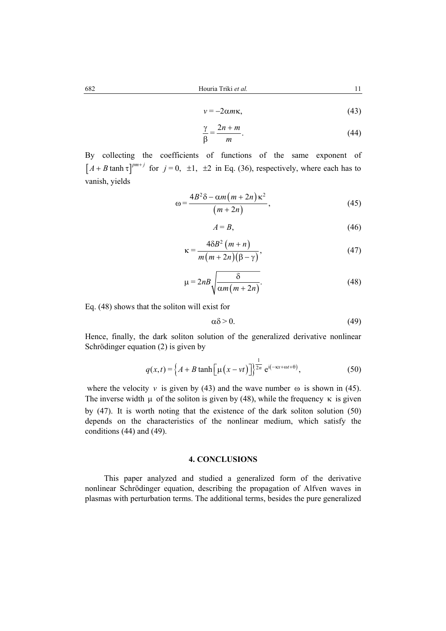$$
v = -2\alpha m\kappa,\tag{43}
$$

$$
\frac{\gamma}{\beta} = \frac{2n + m}{m}.\tag{44}
$$

By collecting the coefficients of functions of the same exponent of  $[A + B \tanh \tau]^{pm+j}$  for  $j = 0, \pm 1, \pm 2$  in Eq. (36), respectively, where each has to vanish, yields

$$
\omega = \frac{4B^2\delta - \alpha m(m+2n)\kappa^2}{(m+2n)},
$$
\n(45)

$$
A = B,\tag{46}
$$

$$
\kappa = \frac{4\delta B^2 (m+n)}{m(m+2n)(\beta-\gamma)},
$$
\n(47)

$$
\mu = 2nB \sqrt{\frac{\delta}{\alpha m (m+2n)}}.
$$
\n(48)

Eq. (48) shows that the soliton will exist for

$$
\alpha \delta > 0. \tag{49}
$$

Hence, finally, the dark soliton solution of the generalized derivative nonlinear Schrödinger equation (2) is given by

$$
q(x,t) = \left\{ A + B \tanh\left[\mu\left(x - vt\right)\right] \right\}^{\frac{1}{2n}} e^{i(-\kappa x + \omega t + \theta)},\tag{50}
$$

where the velocity *v* is given by (43) and the wave number  $\omega$  is shown in (45). The inverse width  $\mu$  of the soliton is given by (48), while the frequency  $\kappa$  is given by (47). It is worth noting that the existence of the dark soliton solution (50) depends on the characteristics of the nonlinear medium, which satisfy the conditions (44) and (49).

## **4. CONCLUSIONS**

This paper analyzed and studied a generalized form of the derivative nonlinear Schrödinger equation, describing the propagation of Alfven waves in plasmas with perturbation terms. The additional terms, besides the pure generalized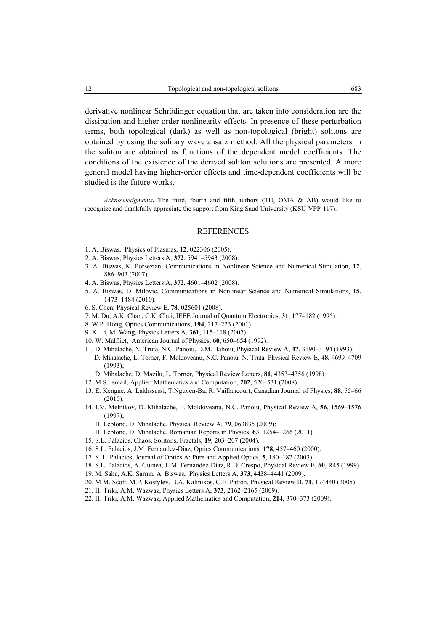derivative nonlinear Schrödinger equation that are taken into consideration are the dissipation and higher order nonlinearity effects. In presence of these perturbation terms, both topological (dark) as well as non-topological (bright) solitons are obtained by using the solitary wave ansatz method. All the physical parameters in the soliton are obtained as functions of the dependent model coefficients. The conditions of the existence of the derived soliton solutions are presented. A more general model having higher-order effects and time-dependent coefficients will be studied is the future works.

*Acknowledgments***.** The third, fourth and fifth authors (TH, OMA & AB) would like to recognize and thankfully appreciate the support from King Saud University (KSU-VPP-117).

#### REFERENCES

- 1. A. Biswas, Physics of Plasmas, **12**, 022306 (2005).
- 2. A. Biswas, Physics Letters A, **372**, 5941–5943 (2008).
- 3. A. Biswas, K. Porsezian, Communications in Nonlinear Science and Numerical Simulation, **12**, 886–903 (2007).
- 4. A. Biswas, Physics Letters A, **372**, 4601–4602 (2008).
- 5. A. Biswas, D. Milovic, Communications in Nonlinear Science and Numerical Simulations, **15**, 1473–1484 (2010).
- 6. S. Chen, Physical Review E, **78**, 025601 (2008).
- 7. M. Du, A.K. Chan, C.K. Chui, IEEE Journal of Quantum Electronics, **31**, 177–182 (1995).
- 8. W.P. Hong, Optics Communications, **194**, 217–223 (2001).
- 9. X. Li, M. Wang, Physics Letters A, **361**, 115–118 (2007).
- 10. W. Malfliet, American Journal of Physics, **60**, 650–654 (1992).
- 11. D. Mihalache, N. Truta, N.C. Panoiu, D.M. Baboiu, Physical Review A, **47**, 3190–3194 (1993); D. Mihalache, L. Torner, F. Moldoveanu, N.C. Panoiu, N. Truta, Physical Review E, **48**, 4699–4709 (1993);
- D. Mihalache, D. Mazilu, L. Torner, Physical Review Letters, **81**, 4353–4356 (1998).
- 12. M.S. Ismail, Applied Mathematics and Computation, **202**, 520–531 (2008).
- 13. E. Kengne, A. Lakhssassi, T.Nguyen-Ba, R. Vaillancourt, Canadian Journal of Physics, **88**, 55–66 (2010).
- 14. I.V. Melnikov, D. Mihalache, F. Moldoveanu, N.C. Panoiu, Physical Review A, **56**, 1569–1576 (1997);
	- H. Leblond, D. Mihalache, Physical Review A, **79**, 063835 (2009);
	- H. Leblond, D. Mihalache, Romanian Reports in Physics, **63**, 1254–1266 (2011).
- 15. S.L. Palacios, Chaos, Solitons, Fractals, **19**, 203–207 (2004).
- 16. S.L. Palacios, J.M. Fernandez-Diaz, Optics Communications, **178**, 457–460 (2000).
- 17. S. L. Palacios, Journal of Optics A: Pure and Applied Optics, **5**, 180–182 (2003).
- 18. S.L. Palacios, A. Guinea, J. M. Fernandez-Diaz, R.D. Crespo, Physical Review E, **60**, R45 (1999).
- 19. M. Saha, A.K. Sarma, A. Biswas, Physics Letters A, **373**, 4438–4441 (2009).
- 20. M.M. Scott, M.P. Kostylev, B.A. Kalinikos, C.E. Patton, Physical Review B, **71**, 174440 (2005).
- 21. H. Triki, A.M. Wazwaz, Physics Letters A, **373**, 2162–2165 (2009).
- 22. H. Triki, A.M. Wazwaz, Applied Mathematics and Computation, **214**, 370–373 (2009).